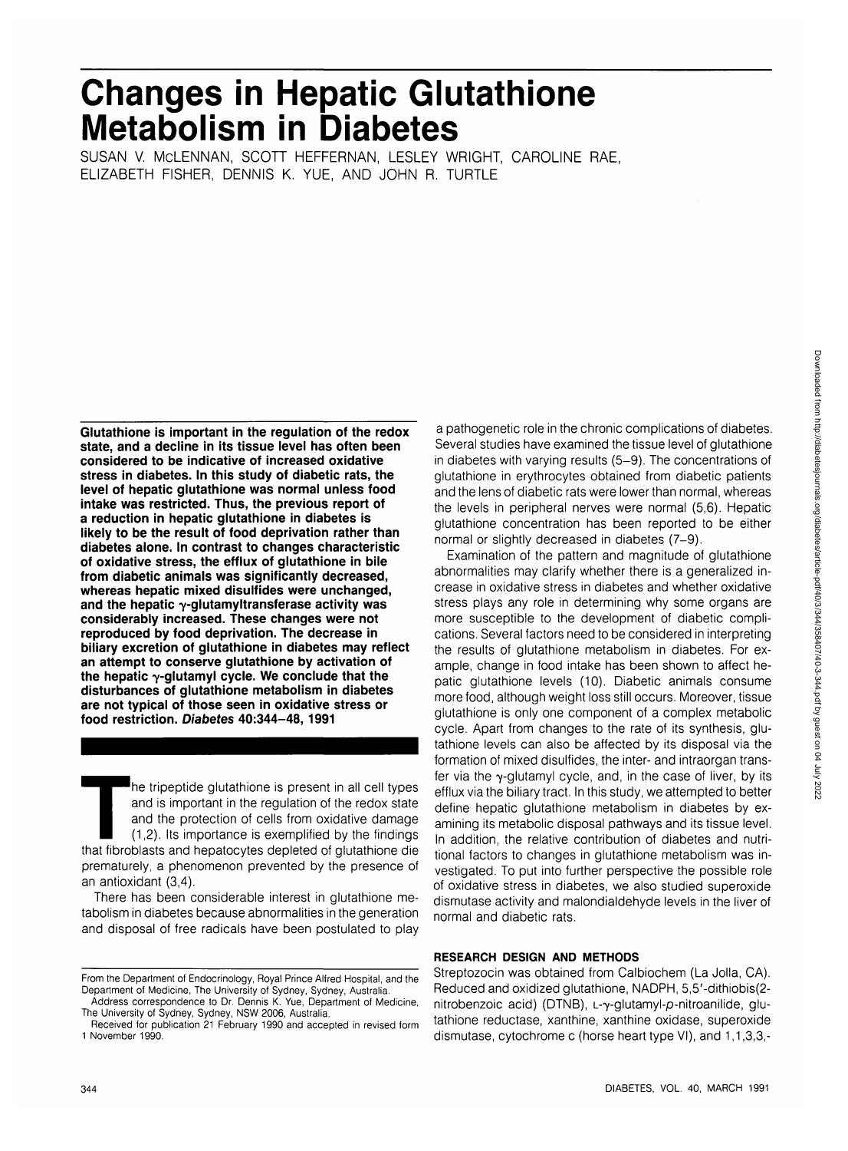# **Changes in Hepatic Glutathione Metabolism in Diabetes**

SUSAN V. MCLENNAN, SCOTT HEFFERNAN, LESLEY WRIGHT, CAROLINE RAE, ELIZABETH FISHER, DENNIS K. YUE, AND JOHN R. TURTLE

**Glutathione is important in the regulation of the redox state, and a decline in its tissue level has often been considered to be indicative of increased oxidative stress in diabetes. In this study of diabetic rats, the level of hepatic glutathione was normal unless food intake was restricted. Thus, the previous report of a reduction in hepatic glutathione in diabetes is likely to be the result of food deprivation rather than diabetes alone. In contrast to changes characteristic of oxidative stress, the efflux of glutathione in bile from diabetic animals was significantly decreased, whereas hepatic mixed disulfides were unchanged,** and the hepatic  $\gamma$ -glutamyltransferase activity was **considerably increased. These changes were not reproduced by food deprivation. The decrease in biliary excretion of glutathione in diabetes may reflect an attempt to conserve glutathione by activation of the hepatic 7-glutamyl cycle. We conclude that the disturbances of glutathione metabolism in diabetes are not typical of those seen in oxidative stress or food restriction. Diabetes 40:344-48, 1991**

The tripeptide glutathione is present in all cell types<br>and is important in the regulation of the redox state<br>and the protection of cells from oxidative damage<br>(1,2). Its importance is exemplified by the findings<br>that fibr and is important in the regulation of the redox state and the protection of cells from oxidative damage (1,2). Its importance is exemplified by the findings prematurely, a phenomenon prevented by the presence of an antioxidant (3,4).

There has been considerable interest in glutathione metabolism in diabetes because abnormalities in the generation and disposal of free radicals have been postulated to play

From the Department of Endocrinology, Royal Prince Alfred Hospital, and the Department of Medicine, The University of Sydney, Sydney, Australia.

a pathogenetic role in the chronic complications of diabetes. Several studies have examined the tissue level of glutathione in diabetes with varying results (5-9). The concentrations of glutathione in erythrocytes obtained from diabetic patients and the lens of diabetic rats were lower than normal, whereas the levels in peripheral nerves were normal (5,6). Hepatic glutathione concentration has been reported to be either normal or slightly decreased in diabetes (7-9).

Examination of the pattern and magnitude of glutathione abnormalities may clarify whether there is a generalized increase in oxidative stress in diabetes and whether oxidative stress plays any role in determining why some organs are more susceptible to the development of diabetic complications. Several factors need to be considered in interpreting the results of glutathione metabolism in diabetes. For example, change in food intake has been shown to affect hepatic glutathione levels (10). Diabetic animals consume more food, although weight loss still occurs. Moreover, tissue glutathione is only one component of a complex metabolic cycle. Apart from changes to the rate of its synthesis, glutathione levels can also be affected by its disposal via the formation of mixed disulfides, the inter- and intraorgan transfer via the  $\gamma$ -glutamyl cycle, and, in the case of liver, by its efflux via the biliary tract. In this study, we attempted to better define hepatic glutathione metabolism in diabetes by examining its metabolic disposal pathways and its tissue level. In addition, the relative contribution of diabetes and nutritional factors to changes in glutathione metabolism was investigated. To put into further perspective the possible role of oxidative stress in diabetes, we also studied superoxide dismutase activity and malondialdehyde levels in the liver of normal and diabetic rats.

## **RESEARCH DESIGN AND METHODS**

Streptozocin was obtained from Calbiochem (La Jolla, CA). Reduced and oxidized glutathione, NADPH, 5,5'-dithiobis(2 nitrobenzoic acid) (DTNB), L-γ-glutamyl-*p*-nitroanilide, glutathione reductase, xanthine, xanthine oxidase, superoxide dismutase, cytochrome c (horse heart type VI), and 1,1,3,3,-

Address correspondence to Dr. Dennis K. Yue, Department of Medicine, The University of Sydney, Sydney, NSW 2006, Australia.

Received for publication 21 February 1990 and accepted in revised form 1 November 1990.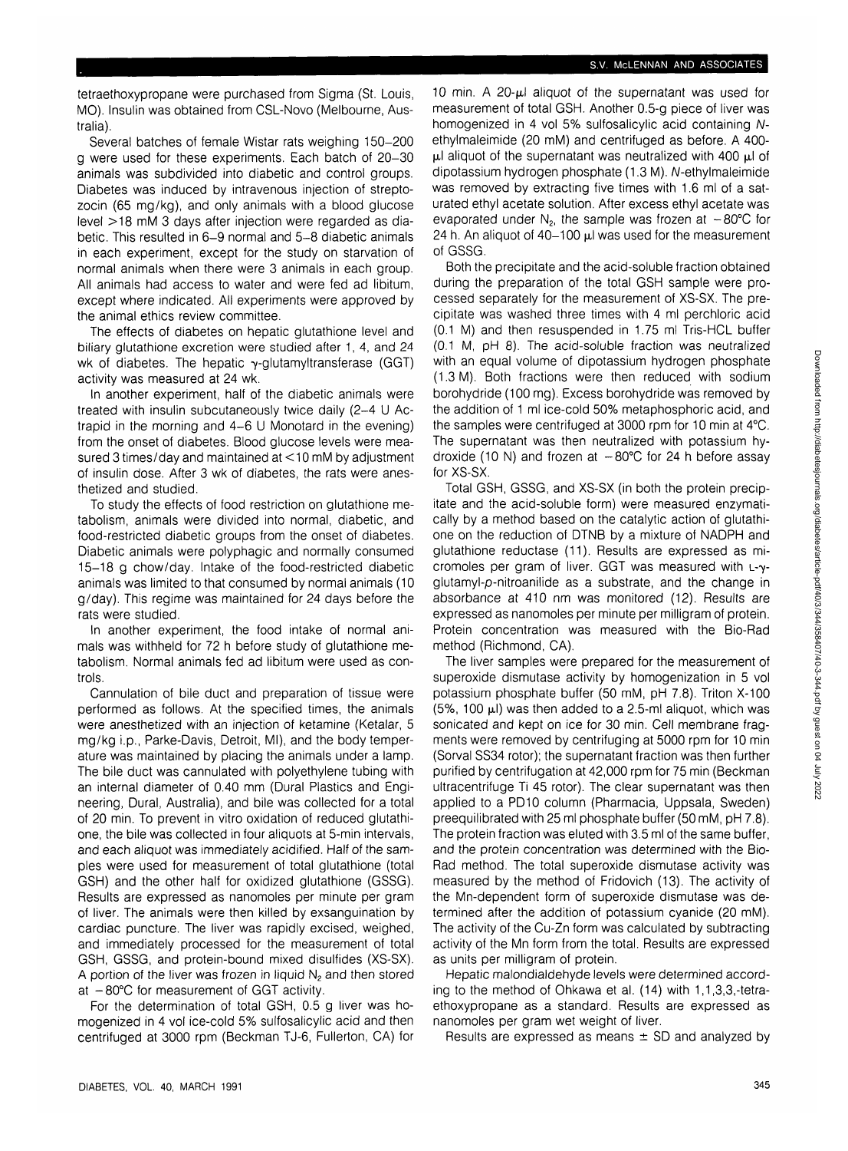tetraethoxypropane were purchased from Sigma (St. Louis, MO). Insulin was obtained from CSL-Novo (Melbourne, Australia).

Several batches of female Wistar rats weighing 150-200 g were used for these experiments. Each batch of 20-30 animals was subdivided into diabetic and control groups. Diabetes was induced by intravenous injection of streptozocin (65 mg/kg), and only animals with a blood glucose level >18 mM 3 days after injection were regarded as diabetic. This resulted in 6-9 normal and 5-8 diabetic animals in each experiment, except for the study on starvation of normal animals when there were 3 animals in each group. All animals had access to water and were fed ad libitum, except where indicated. All experiments were approved by the animal ethics review committee.

The effects of diabetes on hepatic glutathione level and biliary glutathione excretion were studied after 1, 4, and 24 wk of diabetes. The hepatic  $\gamma$ -glutamyltransferase (GGT) activity was measured at 24 wk.

In another experiment, half of the diabetic animals were treated with insulin subcutaneously twice daily (2-4 U Actrapid in the morning and 4-6 U Monotard in the evening) from the onset of diabetes. Blood glucose levels were measured 3 times/day and maintained at <10 mM by adjustment of insulin dose. After 3 wk of diabetes, the rats were anesthetized and studied.

To study the effects of food restriction on glutathione metabolism, animals were divided into normal, diabetic, and food-restricted diabetic groups from the onset of diabetes. Diabetic animals were polyphagic and normally consumed 15-18 g chow/day. Intake of the food-restricted diabetic animals was limited to that consumed by normal animals (10 g/day). This regime was maintained for 24 days before the rats were studied.

In another experiment, the food intake of normal animals was withheld for 72 h before study of glutathione metabolism. Normal animals fed ad libitum were used as controls.

Cannulation of bile duct and preparation of tissue were performed as follows. At the specified times, the animals were anesthetized with an injection of ketamine (Ketalar, 5 mg/kg i.p., Parke-Davis, Detroit, Ml), and the body temperature was maintained by placing the animals under a lamp. The bile duct was cannulated with polyethylene tubing with an internal diameter of 0.40 mm (Dural Plastics and Engineering, Dural, Australia), and bile was collected for a total of 20 min. To prevent in vitro oxidation of reduced glutathione, the bile was collected in four aliquots at 5-min intervals, and each aliquot was immediately acidified. Half of the samples were used for measurement of total glutathione (total GSH) and the other half for oxidized glutathione (GSSG). Results are expressed as nanomoles per minute per gram of liver. The animals were then killed by exsanguination by cardiac puncture. The liver was rapidly excised, weighed, and immediately processed for the measurement of total GSH, GSSG, and protein-bound mixed disulfides (XS-SX). A portion of the liver was frozen in liquid  $N<sub>2</sub>$  and then stored at  $-80^{\circ}$ C for measurement of GGT activity.

For the determination of total GSH, 0.5 g liver was homogenized in 4 vol ice-cold 5% sulfosalicylic acid and then centrifuged at 3000 rpm (Beckman TJ-6, Fullerton, CA) for 10 min. A  $20-\mu l$  aliquot of the supernatant was used for measurement of total GSH. Another 0.5-g piece of liver was homogenized in 4 vol 5% sulfosalicylic acid containing Nethylmaleimide (20 mM) and centrifuged as before. A 400-  $\mu$ l aliquot of the supernatant was neutralized with 400  $\mu$ l of dipotassium hydrogen phosphate (1.3 M). N-ethylmaleimide was removed by extracting five times with 1.6 ml of a saturated ethyl acetate solution. After excess ethyl acetate was evaporated under  $N_2$ , the sample was frozen at  $-80^{\circ}$ C for 24 h. An aliquot of  $40-100$   $\mu$ l was used for the measurement of GSSG.

Both the precipitate and the acid-soluble fraction obtained during the preparation of the total GSH sample were processed separately for the measurement of XS-SX. The precipitate was washed three times with 4 ml perchloric acid (0.1 M) and then resuspended in 1.75 ml Tris-HCL buffer (0.1 M, pH 8). The acid-soluble fraction was neutralized with an equal volume of dipotassium hydrogen phosphate (1.3 M). Both fractions were then reduced with sodium borohydride (100 mg). Excess borohydride was removed by the addition of 1 ml ice-cold 50% metaphosphoric acid, and the samples were centrifuged at 3000 rpm for 10 min at 4°C. The supernatant was then neutralized with potassium hydroxide (10 N) and frozen at  $-80^{\circ}$ C for 24 h before assay for XS-SX.

Total GSH, GSSG, and XS-SX (in both the protein precipitate and the acid-soluble form) were measured enzymatically by a method based on the catalytic action of glutathione on the reduction of DTNB by a mixture of NADPH and glutathione reductase (11). Results are expressed as micromoles per gram of liver. GGT was measured with L-yglutamyl-p-nitroanilide as a substrate, and the change in absorbance at 410 nm was monitored (12). Results are expressed as nanomoles per minute per milligram of protein. Protein concentration was measured with the Bio-Rad method (Richmond, CA).

The liver samples were prepared for the measurement of superoxide dismutase activity by homogenization in 5 vol potassium phosphate buffer (50 mM, pH 7.8). Triton X-100  $(5\%$ , 100  $\mu$ I) was then added to a 2.5-ml aliquot, which was sonicated and kept on ice for 30 min. Cell membrane fragments were removed by centrifuging at 5000 rpm for 10 min (Sorval SS34 rotor); the supernatant fraction was then further purified by centrifugation at 42,000 rpm for 75 min (Beckman ultracentrifuge Ti 45 rotor). The clear supernatant was then applied to a PD10 column (Pharmacia, Uppsala, Sweden) preequilibrated with 25 ml phosphate buffer (50 mM, pH 7.8). The protein fraction was eluted with 3.5 ml of the same buffer, and the protein concentration was determined with the Bio-Rad method. The total superoxide dismutase activity was measured by the method of Fridovich (13). The activity of the Mn-dependent form of superoxide dismutase was determined after the addition of potassium cyanide (20 mM). The activity of the Cu-Zn form was calculated by subtracting activity of the Mn form from the total. Results are expressed as units per milligram of protein.

Hepatic malondialdehyde levels were determined according to the method of Ohkawa et al. (14) with 1,1,3,3,-tetraethoxypropane as a standard. Results are expressed as nanomoles per gram wet weight of liver.

Results are expressed as means  $\pm$  SD and analyzed by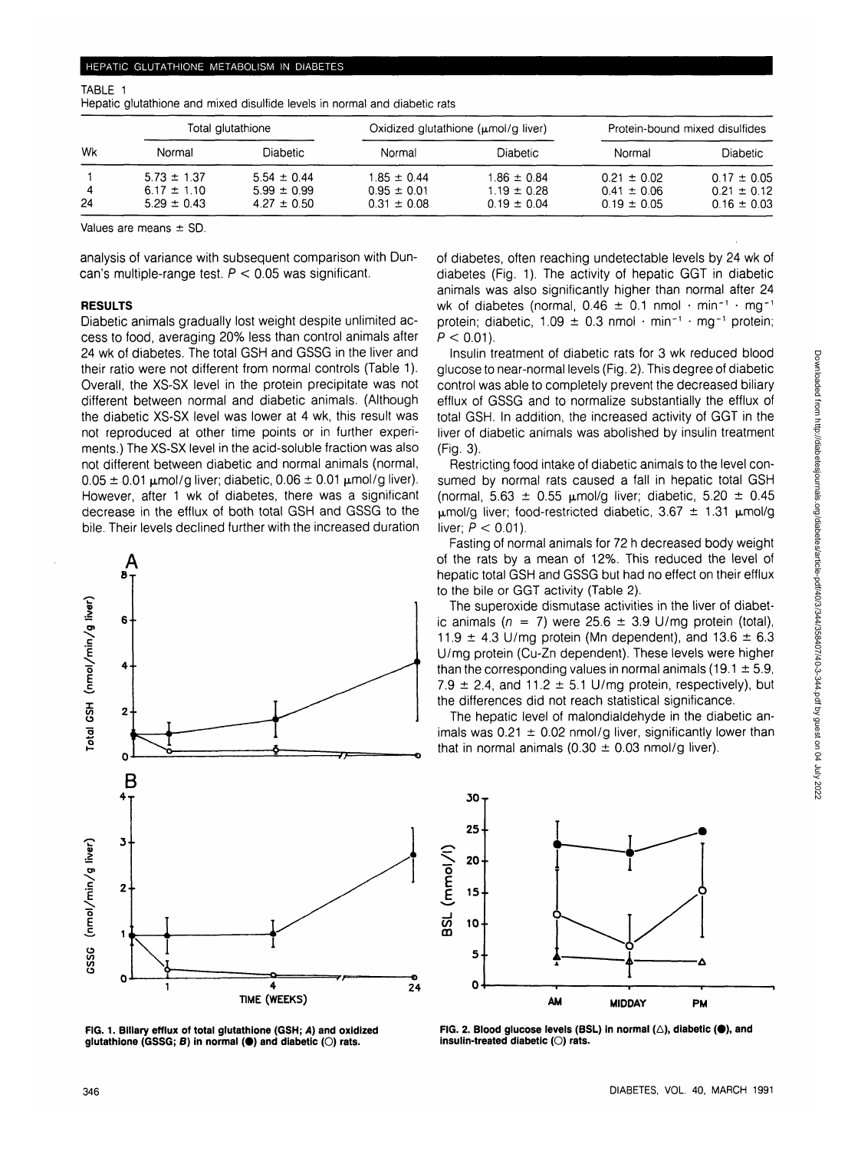#### TABLE 1

| Wk | Total glutathione |                 |                 | Oxidized glutathione $(\mu \text{mol/g liver})$ | Protein-bound mixed disulfides |                 |
|----|-------------------|-----------------|-----------------|-------------------------------------------------|--------------------------------|-----------------|
|    | Normal            | <b>Diabetic</b> | Normal          | <b>Diabetic</b>                                 | Normal                         | <b>Diabetic</b> |
|    | $5.73 \pm 1.37$   | $5.54 \pm 0.44$ | $1.85 \pm 0.44$ | $1.86 \pm 0.84$                                 | $0.21 \pm 0.02$                | $0.17 \pm 0.05$ |
|    | $6.17 \pm 1.10$   | $5.99 \pm 0.99$ | $0.95 \pm 0.01$ | $1.19 \pm 0.28$                                 | $0.41 \pm 0.06$                | $0.21 \pm 0.12$ |
| 24 | $5.29 \pm 0.43$   | $4.27 \pm 0.50$ | $0.31 \pm 0.08$ | $0.19 \pm 0.04$                                 | $0.19 \pm 0.05$                | $0.16 \pm 0.03$ |

Hepatic glutathione and mixed disulfide levels in normal and diabetic rats

Values are means ± SD.

analysis of variance with subsequent comparison with Duncan's multiple-range test.  $P < 0.05$  was significant.

### **RESULTS**

Diabetic animals gradually lost weight despite unlimited access to food, averaging 20% less than control animals after 24 wk of diabetes. The total GSH and GSSG in the liver and their ratio were not different from normal controls (Table 1). Overall, the XS-SX level in the protein precipitate was not different between normal and diabetic animals. (Although the diabetic XS-SX level was lower at 4 wk, this result was not reproduced at other time points or in further experiments.) The XS-SX level in the acid-soluble fraction was also not different between diabetic and normal animals (normal,  $0.05 \pm 0.01$   $\mu$ mol/g liver; diabetic,  $0.06 \pm 0.01$   $\mu$ mol/g liver). However, after 1 wk of diabetes, there was a significant decrease in the efflux of both total GSH and GSSG to the bile. Their levels declined further with the increased duration



**FIG. 1. Biliary efflux of total glutathione (GSH; A) and oxidized glutathione (GSSG; B) in normal (•) and diabetic (O) rats.**

of diabetes, often reaching undetectable levels by 24 wk of diabetes (Fig. 1). The activity of hepatic GGT in diabetic animals was also significantly higher than normal after 24 wk of diabetes (normal,  $0.46 \pm 0.1$  nmol  $\cdot$  min<sup>-1</sup>  $\cdot$  mg<sup>-1</sup> protein; diabetic,  $1.09 \pm 0.3$  nmol  $\cdot$  min<sup>-1</sup>  $\cdot$  mg<sup>-1</sup> protein;  $P < 0.01$ ).

Insulin treatment of diabetic rats for 3 wk reduced blood glucose to near-normal levels (Fig. 2). This degree of diabetic control was able to completely prevent the decreased biliary efflux of GSSG and to normalize substantially the efflux of total GSH. In addition, the increased activity of GGT in the liver of diabetic animals was abolished by insulin treatment (Fig. 3).

Restricting food intake of diabetic animals to the level consumed by normal rats caused a fall in hepatic total GSH (normal,  $5.63 \pm 0.55$  µmol/g liver; diabetic,  $5.20 \pm 0.45$  $\mu$ mol/g liver; food-restricted diabetic, 3.67  $\pm$  1.31  $\mu$ mol/g liver;  $P < 0.01$ ).

Fasting of normal animals for 72 h decreased body weight of the rats by a mean of 12%. This reduced the level of hepatic total GSH and GSSG but had no effect on their efflux to the bile or GGT activity (Table 2).

The superoxide dismutase activities in the liver of diabetic animals ( $n = 7$ ) were 25.6  $\pm$  3.9 U/mg protein (total), 11.9  $\pm$  4.3 U/mg protein (Mn dependent), and 13.6  $\pm$  6.3 U/mg protein (Cu-Zn dependent). These levels were higher than the corresponding values in normal animals (19.1  $\pm$  5.9, 7.9  $\pm$  2.4, and 11.2  $\pm$  5.1 U/mg protein, respectively), but the differences did not reach statistical significance.

The hepatic level of malondialdehyde in the diabetic animals was  $0.21 \pm 0.02$  nmol/g liver, significantly lower than that in normal animals (0.30  $\pm$  0.03 nmol/g liver).



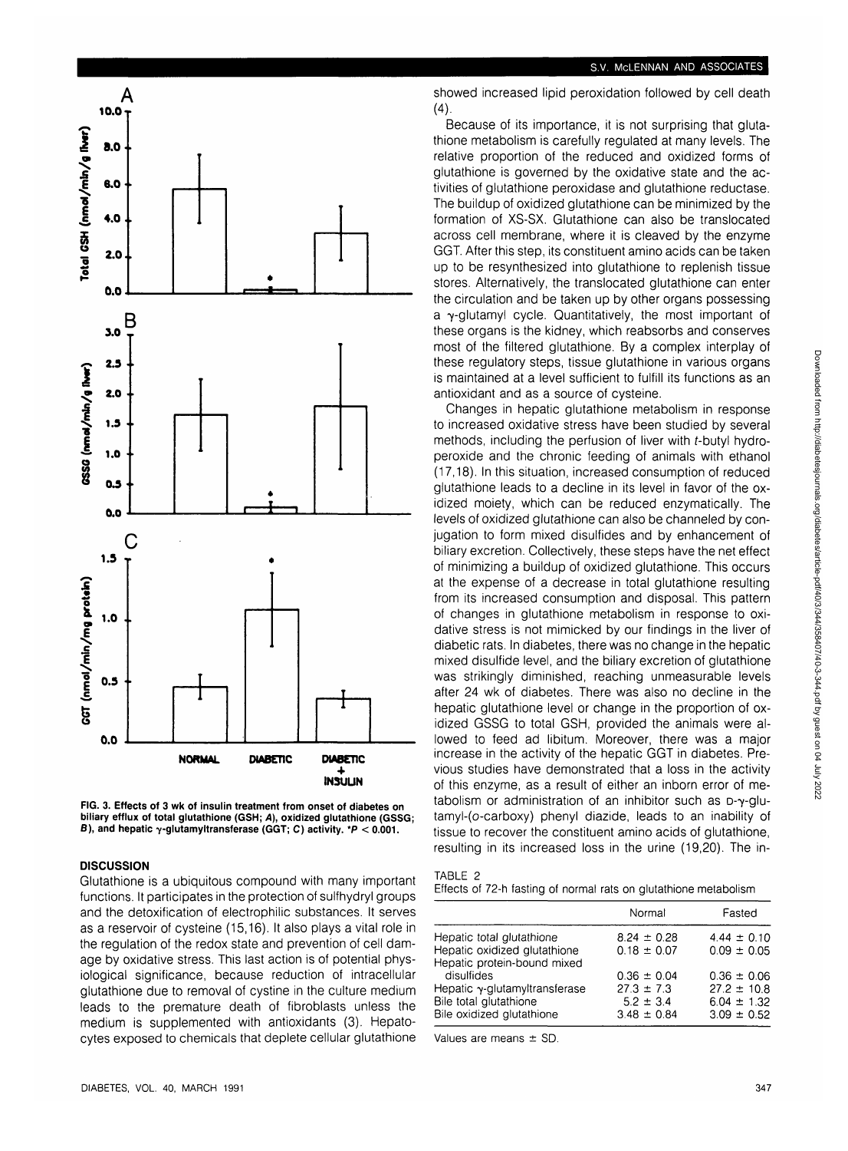



## **DISCUSSION**

Glutathione is a ubiquitous compound with many important functions. It participates in the protection of sulfhydryl groups and the detoxification of electrophilic substances. It serves as a reservoir of cysteine (15,16). It also plays a vital role in the regulation of the redox state and prevention of cell damage by oxidative stress. This last action is of potential physiological significance, because reduction of intracellular glutathione due to removal of cystine in the culture medium leads to the premature death of fibroblasts unless the medium is supplemented with antioxidants (3). Hepatocytes exposed to chemicals that deplete cellular glutathione

#### S.V. McLENNAN AND ASSOCIATES

showed increased lipid peroxidation followed by cell death  $(4)$ 

Because of its importance, it is not surprising that glutathione metabolism is carefully regulated at many levels. The relative proportion of the reduced and oxidized forms of glutathione is governed by the oxidative state and the activities of glutathione peroxidase and glutathione reductase. The buildup of oxidized glutathione can be minimized by the formation of XS-SX. Glutathione can also be translocated across cell membrane, where it is cleaved by the enzyme GGT. After this step, its constituent amino acids can be taken up to be resynthesized into glutathione to replenish tissue stores. Alternatively, the translocated glutathione can enter the circulation and be taken up by other organs possessing a  $\gamma$ -glutamyl cycle. Quantitatively, the most important of these organs is the kidney, which reabsorbs and conserves most of the filtered glutathione. By a complex interplay of these regulatory steps, tissue glutathione in various organs is maintained at a level sufficient to fulfill its functions as an antioxidant and as a source of cysteine.

Changes in hepatic glutathione metabolism in response to increased oxidative stress have been studied by several methods, including the perfusion of liver with **f-butyl** hydroperoxide and the chronic feeding of animals with ethanol (17,18). In this situation, increased consumption of reduced glutathione leads to a decline in its level in favor of the oxidized moiety, which can be reduced enzymatically. The levels of oxidized glutathione can also be channeled by conjugation to form mixed disulfides and by enhancement of biliary excretion. Collectively, these steps have the net effect of minimizing a buildup of oxidized glutathione. This occurs at the expense of a decrease in total glutathione resulting from its increased consumption and disposal. This pattern of changes in glutathione metabolism in response to oxidative stress is not mimicked by our findings in the liver of diabetic rats. In diabetes, there was no change in the hepatic mixed disulfide level, and the biliary excretion of glutathione was strikingly diminished, reaching unmeasurable levels after 24 wk of diabetes. There was also no decline in the hepatic glutathione level or change in the proportion of oxidized GSSG to total GSH, provided the animals were allowed to feed ad libitum. Moreover, there was a major increase in the activity of the hepatic GGT in diabetes. Previous studies have demonstrated that a loss in the activity of this enzyme, as a result of either an inborn error of metabolism or administration of an inhibitor such as  $D-\gamma$ -glutamyl-(o-carboxy) phenyl diazide, leads to an inability of tissue to recover the constituent amino acids of glutathione, resulting in its increased loss in the urine (19,20). The in-

| TABLE 2 |  |  |  |  |
|---------|--|--|--|--|
|         |  |  |  |  |

Effects of 72-h fasting of normal rats on glutathione metabolism

|                                                             | Normal          | Fasted          |
|-------------------------------------------------------------|-----------------|-----------------|
| Hepatic total glutathione                                   | $8.24 \pm 0.28$ | $4.44 \pm 0.10$ |
| Hepatic oxidized glutathione<br>Hepatic protein-bound mixed | $0.18 \pm 0.07$ | $0.09 \pm 0.05$ |
| disulfides                                                  | $0.36 \pm 0.04$ | $0.36 \pm 0.06$ |
| Hepatic $\gamma$ -glutamyltransferase                       | $27.3 \pm 7.3$  | $27.2 \pm 10.8$ |
| Bile total glutathione                                      | $5.2 \pm 3.4$   | $6.04 \pm 1.32$ |
| Bile oxidized glutathione                                   | $3.48 \pm 0.84$ | $3.09 \pm 0.52$ |

Values are means ± SD.